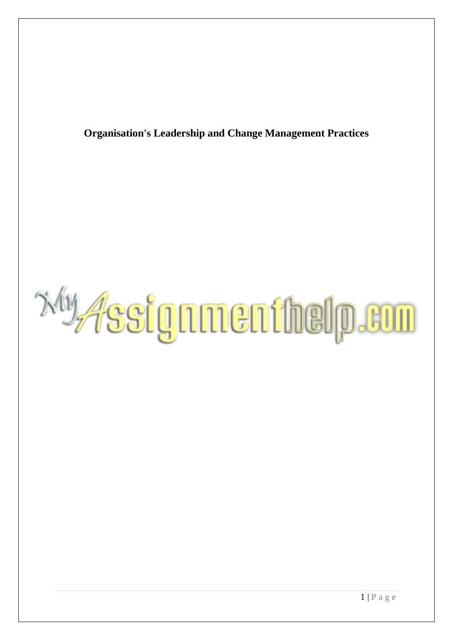**Organisation's Leadership and Change Management Practices**

*Ny Assignmenthelp.com*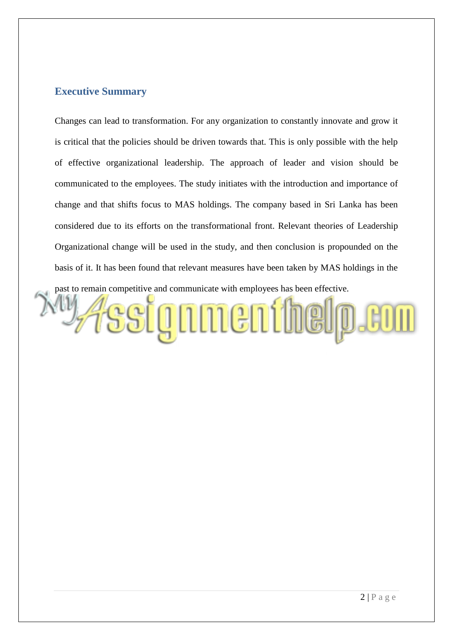## **Executive Summary**

Changes can lead to transformation. For any organization to constantly innovate and grow it is critical that the policies should be driven towards that. This is only possible with the help of effective organizational leadership. The approach of leader and vision should be communicated to the employees. The study initiates with the introduction and importance of change and that shifts focus to MAS holdings. The company based in Sri Lanka has been considered due to its efforts on the transformational front. Relevant theories of Leadership Organizational change will be used in the study, and then conclusion is propounded on the basis of it. It has been found that relevant measures have been taken by MAS holdings in the past to remain competitive and communicate with employees has been effective.

signnenthelp.com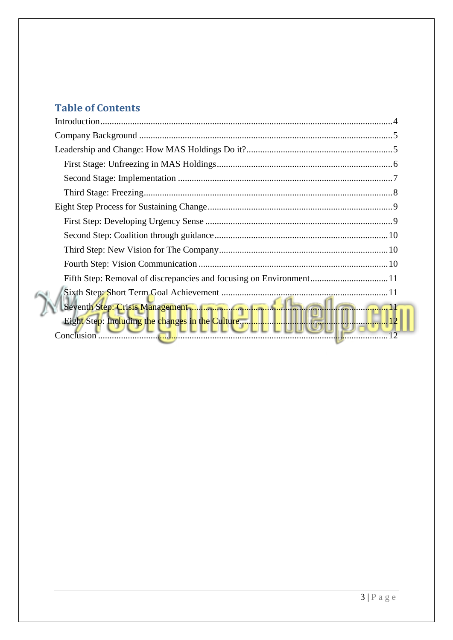# **Table of Contents**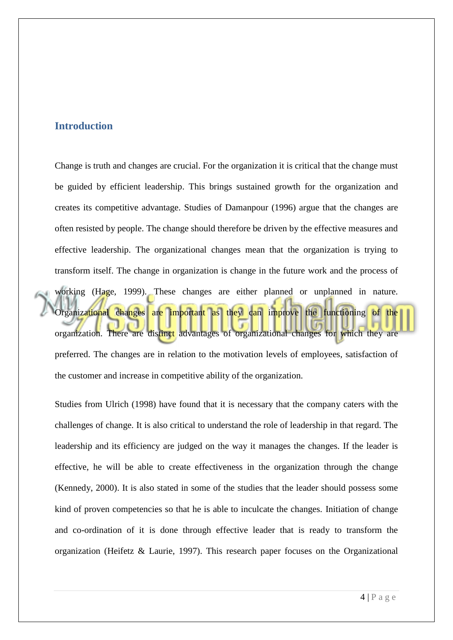## <span id="page-3-0"></span>**Introduction**

Change is truth and changes are crucial. For the organization it is critical that the change must be guided by efficient leadership. This brings sustained growth for the organization and creates its competitive advantage. Studies of Damanpour (1996) argue that the changes are often resisted by people. The change should therefore be driven by the effective measures and effective leadership. The organizational changes mean that the organization is trying to transform itself. The change in organization is change in the future work and the process of working (Hage, 1999). These changes are either planned or unplanned in nature. Organizational changes are important as they can improve the functioning of the organization. There are distinct advantages of organizational changes for which they are preferred. The changes are in relation to the motivation levels of employees, satisfaction of the customer and increase in competitive ability of the organization.

Studies from Ulrich (1998) have found that it is necessary that the company caters with the challenges of change. It is also critical to understand the role of leadership in that regard. The leadership and its efficiency are judged on the way it manages the changes. If the leader is effective, he will be able to create effectiveness in the organization through the change (Kennedy, 2000). It is also stated in some of the studies that the leader should possess some kind of proven competencies so that he is able to inculcate the changes. Initiation of change and co-ordination of it is done through effective leader that is ready to transform the organization (Heifetz & Laurie, 1997). This research paper focuses on the Organizational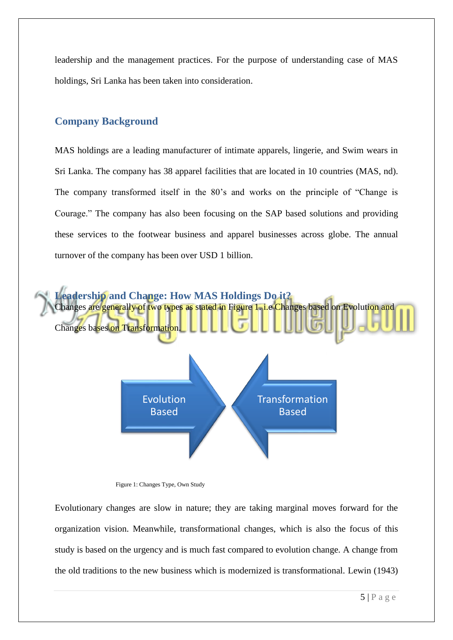leadership and the management practices. For the purpose of understanding case of MAS holdings, Sri Lanka has been taken into consideration.

# <span id="page-4-0"></span>**Company Background**

MAS holdings are a leading manufacturer of intimate apparels, lingerie, and Swim wears in Sri Lanka. The company has 38 apparel facilities that are located in 10 countries (MAS, nd). The company transformed itself in the 80"s and works on the principle of "Change is Courage." The company has also been focusing on the SAP based solutions and providing these services to the footwear business and apparel businesses across globe. The annual turnover of the company has been over USD 1 billion.

<span id="page-4-1"></span>

Figure 1: Changes Type, Own Study

Evolutionary changes are slow in nature; they are taking marginal moves forward for the organization vision. Meanwhile, transformational changes, which is also the focus of this study is based on the urgency and is much fast compared to evolution change. A change from the old traditions to the new business which is modernized is transformational. Lewin (1943)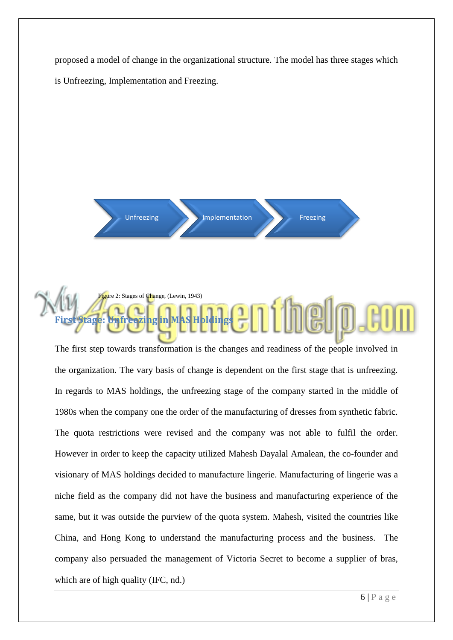proposed a model of change in the organizational structure. The model has three stages which is Unfreezing, Implementation and Freezing.





<span id="page-5-0"></span>The first step towards transformation is the changes and readiness of the people involved in the organization. The vary basis of change is dependent on the first stage that is unfreezing. In regards to MAS holdings, the unfreezing stage of the company started in the middle of 1980s when the company one the order of the manufacturing of dresses from synthetic fabric. The quota restrictions were revised and the company was not able to fulfil the order. However in order to keep the capacity utilized Mahesh Dayalal Amalean, the co-founder and visionary of MAS holdings decided to manufacture lingerie. Manufacturing of lingerie was a niche field as the company did not have the business and manufacturing experience of the same, but it was outside the purview of the quota system. Mahesh, visited the countries like China, and Hong Kong to understand the manufacturing process and the business. The company also persuaded the management of Victoria Secret to become a supplier of bras, which are of high quality (IFC, nd.)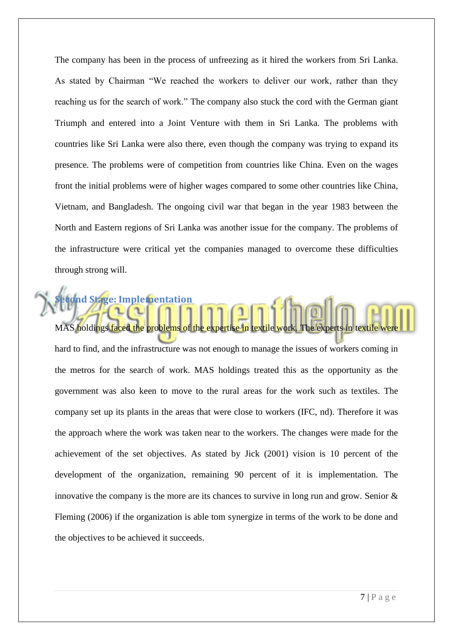The company has been in the process of unfreezing as it hired the workers from Sri Lanka. As stated by Chairman "We reached the workers to deliver our work, rather than they reaching us for the search of work." The company also stuck the cord with the German giant Triumph and entered into a Joint Venture with them in Sri Lanka. The problems with countries like Sri Lanka were also there, even though the company was trying to expand its presence. The problems were of competition from countries like China. Even on the wages front the initial problems were of higher wages compared to some other countries like China, Vietnam, and Bangladesh. The ongoing civil war that began in the year 1983 between the North and Eastern regions of Sri Lanka was another issue for the company. The problems of the infrastructure were critical yet the companies managed to overcome these difficulties through strong will.

MAS holdings faced the problems of the expertise in textile work. The experts in textile hard to find, and the infrastructure was not enough to manage the issues of workers coming in the metros for the search of work. MAS holdings treated this as the opportunity as the government was also keen to move to the rural areas for the work such as textiles. The company set up its plants in the areas that were close to workers (IFC, nd). Therefore it was the approach where the work was taken near to the workers. The changes were made for the achievement of the set objectives. As stated by Jick (2001) vision is 10 percent of the development of the organization, remaining 90 percent of it is implementation. The innovative the company is the more are its chances to survive in long run and grow. Senior  $\&$ Fleming (2006) if the organization is able tom synergize in terms of the work to be done and the objectives to be achieved it succeeds.

<span id="page-6-0"></span>**Second Stage: Implementation**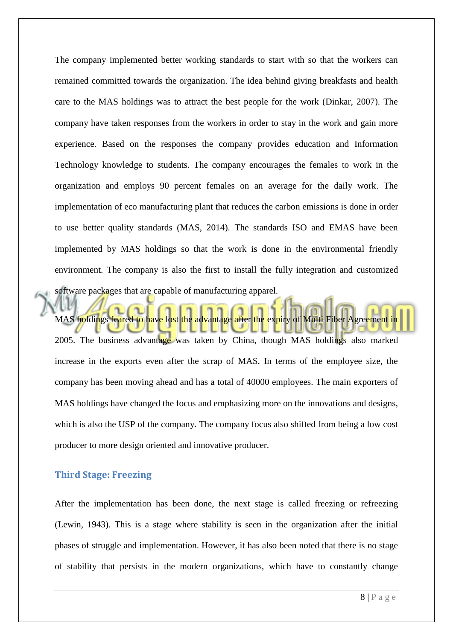The company implemented better working standards to start with so that the workers can remained committed towards the organization. The idea behind giving breakfasts and health care to the MAS holdings was to attract the best people for the work (Dinkar, 2007). The company have taken responses from the workers in order to stay in the work and gain more experience. Based on the responses the company provides education and Information Technology knowledge to students. The company encourages the females to work in the organization and employs 90 percent females on an average for the daily work. The implementation of eco manufacturing plant that reduces the carbon emissions is done in order to use better quality standards (MAS, 2014). The standards ISO and EMAS have been implemented by MAS holdings so that the work is done in the environmental friendly environment. The company is also the first to install the fully integration and customized software packages that are capable of manufacturing apparel.

MAS holdings feared to have lost the advantage after the expiry of Multi Fiber Agreement in 2005. The business advantage was taken by China, though MAS holdings also marked increase in the exports even after the scrap of MAS. In terms of the employee size, the company has been moving ahead and has a total of 40000 employees. The main exporters of MAS holdings have changed the focus and emphasizing more on the innovations and designs, which is also the USP of the company. The company focus also shifted from being a low cost producer to more design oriented and innovative producer.

## <span id="page-7-0"></span>**Third Stage: Freezing**

After the implementation has been done, the next stage is called freezing or refreezing (Lewin, 1943). This is a stage where stability is seen in the organization after the initial phases of struggle and implementation. However, it has also been noted that there is no stage of stability that persists in the modern organizations, which have to constantly change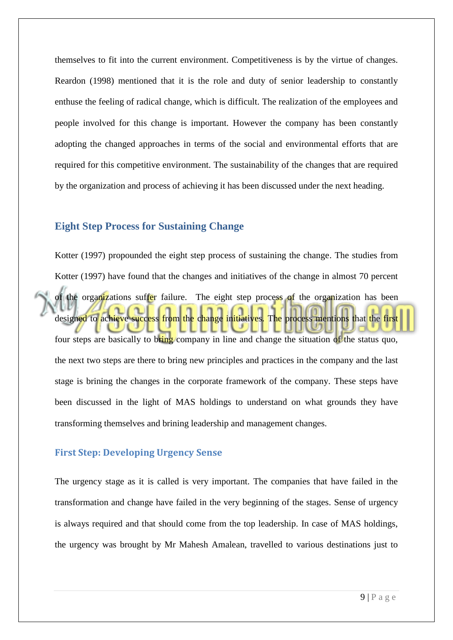themselves to fit into the current environment. Competitiveness is by the virtue of changes. Reardon (1998) mentioned that it is the role and duty of senior leadership to constantly enthuse the feeling of radical change, which is difficult. The realization of the employees and people involved for this change is important. However the company has been constantly adopting the changed approaches in terms of the social and environmental efforts that are required for this competitive environment. The sustainability of the changes that are required by the organization and process of achieving it has been discussed under the next heading.

## <span id="page-8-0"></span>**Eight Step Process for Sustaining Change**

Kotter (1997) propounded the eight step process of sustaining the change. The studies from Kotter (1997) have found that the changes and initiatives of the change in almost 70 percent of the organizations suffer failure. The eight step process of the organization has been designed to achieve success from the change initiatives. The process mentions that the first four steps are basically to bring company in line and change the situation of the status quo, the next two steps are there to bring new principles and practices in the company and the last stage is brining the changes in the corporate framework of the company. These steps have been discussed in the light of MAS holdings to understand on what grounds they have transforming themselves and brining leadership and management changes.

## <span id="page-8-1"></span>**First Step: Developing Urgency Sense**

The urgency stage as it is called is very important. The companies that have failed in the transformation and change have failed in the very beginning of the stages. Sense of urgency is always required and that should come from the top leadership. In case of MAS holdings, the urgency was brought by Mr Mahesh Amalean, travelled to various destinations just to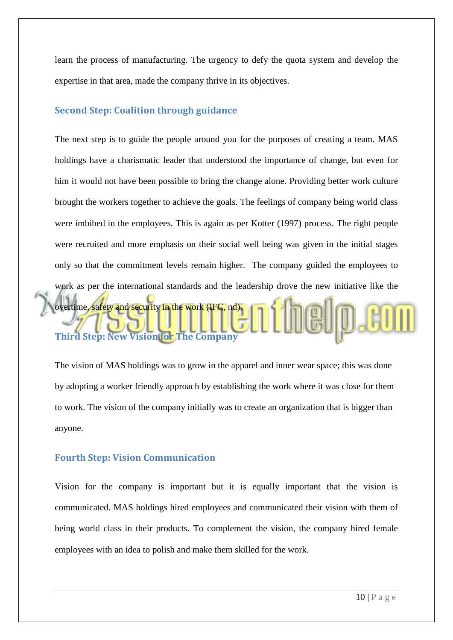learn the process of manufacturing. The urgency to defy the quota system and develop the expertise in that area, made the company thrive in its objectives.

#### <span id="page-9-0"></span>**Second Step: Coalition through guidance**

The next step is to guide the people around you for the purposes of creating a team. MAS holdings have a charismatic leader that understood the importance of change, but even for him it would not have been possible to bring the change alone. Providing better work culture brought the workers together to achieve the goals. The feelings of company being world class were imbibed in the employees. This is again as per Kotter (1997) process. The right people were recruited and more emphasis on their social well being was given in the initial stages only so that the commitment levels remain higher. The company guided the employees to work as per the international standards and the leadership drove the new initiative like the overtime, safety and security in the work (IFC, nd). **Third Step: New Vision for The Company** 

<span id="page-9-1"></span>The vision of MAS holdings was to grow in the apparel and inner wear space; this was done by adopting a worker friendly approach by establishing the work where it was close for them to work. The vision of the company initially was to create an organization that is bigger than anyone.

#### <span id="page-9-2"></span>**Fourth Step: Vision Communication**

Vision for the company is important but it is equally important that the vision is communicated. MAS holdings hired employees and communicated their vision with them of being world class in their products. To complement the vision, the company hired female employees with an idea to polish and make them skilled for the work.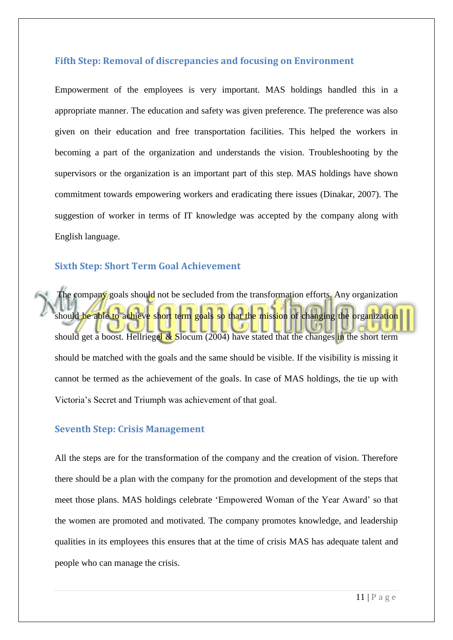#### <span id="page-10-0"></span>**Fifth Step: Removal of discrepancies and focusing on Environment**

Empowerment of the employees is very important. MAS holdings handled this in a appropriate manner. The education and safety was given preference. The preference was also given on their education and free transportation facilities. This helped the workers in becoming a part of the organization and understands the vision. Troubleshooting by the supervisors or the organization is an important part of this step. MAS holdings have shown commitment towards empowering workers and eradicating there issues (Dinakar, 2007). The suggestion of worker in terms of IT knowledge was accepted by the company along with English language.

## <span id="page-10-1"></span>**Sixth Step: Short Term Goal Achievement**

The company goals should not be secluded from the transformation efforts. Any organization should be able to achieve short term goals so that the mission of changing the organization should get a boost. Hellriegel & Slocum (2004) have stated that the changes in the short term should be matched with the goals and the same should be visible. If the visibility is missing it cannot be termed as the achievement of the goals. In case of MAS holdings, the tie up with Victoria"s Secret and Triumph was achievement of that goal.

#### <span id="page-10-2"></span>**Seventh Step: Crisis Management**

All the steps are for the transformation of the company and the creation of vision. Therefore there should be a plan with the company for the promotion and development of the steps that meet those plans. MAS holdings celebrate "Empowered Woman of the Year Award" so that the women are promoted and motivated. The company promotes knowledge, and leadership qualities in its employees this ensures that at the time of crisis MAS has adequate talent and people who can manage the crisis.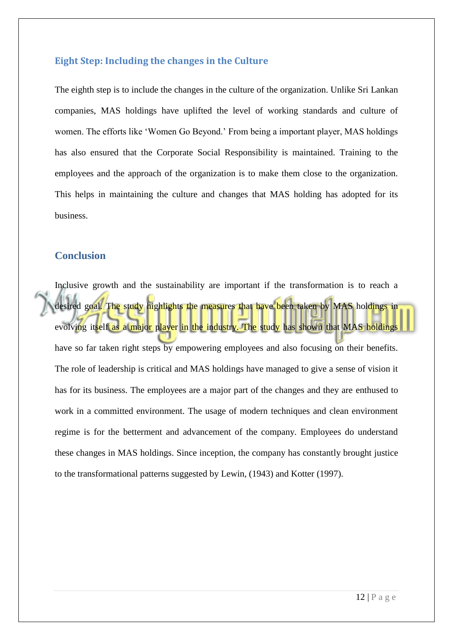#### <span id="page-11-0"></span>**Eight Step: Including the changes in the Culture**

The eighth step is to include the changes in the culture of the organization. Unlike Sri Lankan companies, MAS holdings have uplifted the level of working standards and culture of women. The efforts like "Women Go Beyond." From being a important player, MAS holdings has also ensured that the Corporate Social Responsibility is maintained. Training to the employees and the approach of the organization is to make them close to the organization. This helps in maintaining the culture and changes that MAS holding has adopted for its business.

## <span id="page-11-1"></span>**Conclusion**

Inclusive growth and the sustainability are important if the transformation is to reach a desired goal. The study highlights the measures that have been taken by MAS holdings in evolving itself as a major player in the industry. The study has shown that MAS holdings have so far taken right steps by empowering employees and also focusing on their benefits. The role of leadership is critical and MAS holdings have managed to give a sense of vision it has for its business. The employees are a major part of the changes and they are enthused to work in a committed environment. The usage of modern techniques and clean environment regime is for the betterment and advancement of the company. Employees do understand these changes in MAS holdings. Since inception, the company has constantly brought justice to the transformational patterns suggested by Lewin, (1943) and Kotter (1997).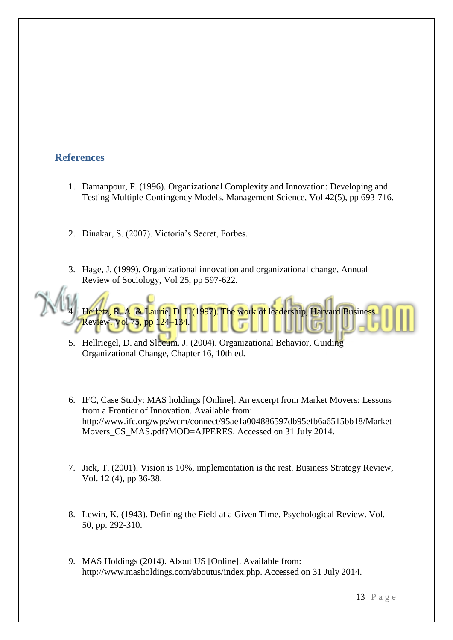# **References**

- 1. Damanpour, F. (1996). Organizational Complexity and Innovation: Developing and Testing Multiple Contingency Models. Management Science, Vol 42(5), pp 693-716.
- 2. Dinakar, S. (2007). Victoria"s Secret, Forbes.
- 3. Hage, J. (1999). Organizational innovation and organizational change, Annual Review of Sociology, Vol 25, pp 597-622.



- 5. Hellriegel, D. and Slocum. J. (2004). Organizational Behavior, Guiding Organizational Change, Chapter 16, 10th ed.
- 6. IFC, Case Study: MAS holdings [Online]. An excerpt from Market Movers: Lessons from a Frontier of Innovation. Available from: [http://www.ifc.org/wps/wcm/connect/95ae1a004886597db95efb6a6515bb18/Market](http://www.ifc.org/wps/wcm/connect/95ae1a004886597db95efb6a6515bb18/MarketMovers_CS_MAS.pdf?MOD=AJPERES) [Movers\\_CS\\_MAS.pdf?MOD=AJPERES.](http://www.ifc.org/wps/wcm/connect/95ae1a004886597db95efb6a6515bb18/MarketMovers_CS_MAS.pdf?MOD=AJPERES) Accessed on 31 July 2014.
- 7. Jick, T. (2001). Vision is 10%, implementation is the rest. Business Strategy Review, Vol. 12 (4), pp 36-38.
- 8. Lewin, K. (1943). Defining the Field at a Given Time. Psychological Review. Vol. 50, pp. 292-310.
- 9. MAS Holdings (2014). About US [Online]. Available from: [http://www.masholdings.com/aboutus/index.php.](http://www.masholdings.com/aboutus/index.php) Accessed on 31 July 2014.